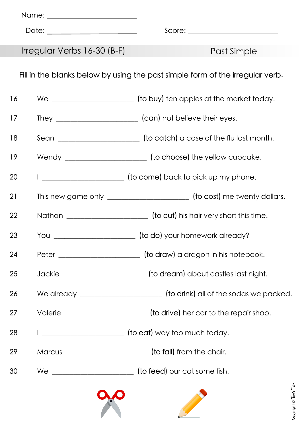|                                                                               | Date: __________________________ | Score: __________________________                                                |  |
|-------------------------------------------------------------------------------|----------------------------------|----------------------------------------------------------------------------------|--|
|                                                                               | Irregular Verbs 16-30 (B-F)      | Past Simple                                                                      |  |
| Fill in the blanks below by using the past simple form of the irregular verb. |                                  |                                                                                  |  |
| 16                                                                            |                                  | We __________________________ (to buy) ten apples at the market today.           |  |
| 17                                                                            |                                  |                                                                                  |  |
| 18                                                                            |                                  | Sean ___________________________ (to catch) a case of the fluilast month.        |  |
| 19                                                                            |                                  | Wendy _________________________ (to choose) the yellow cupcake.                  |  |
| 20                                                                            |                                  | (to come) back to pick up my phone.                                              |  |
| 21                                                                            |                                  | This new game only __________________________ (to cost) me twenty dollars.       |  |
| 22                                                                            |                                  | Nathan _________________________________ (to cut) his hair very short this time. |  |
| 23                                                                            |                                  | You _________________________ (to do) your homework already?                     |  |
| 24                                                                            |                                  | Peter ______________________________ (to draw) a dragon in his notebook.         |  |
| 25                                                                            |                                  | Jackie _________________________ (to dream) about castles last night.            |  |
| 26                                                                            |                                  | We already ______________________________ (to drink) all of the sodas we packed. |  |
| 27                                                                            |                                  | Valerie _________________________ (to drive) her car to the repair shop.         |  |
| 28                                                                            |                                  | [to eat] way too much today.                                                     |  |
| 29                                                                            |                                  | Marcus _________________________________ (to fall) from the chair.               |  |
| 30                                                                            |                                  | We ____________________________ (to feed) our cat some fish.                     |  |
|                                                                               |                                  |                                                                                  |  |